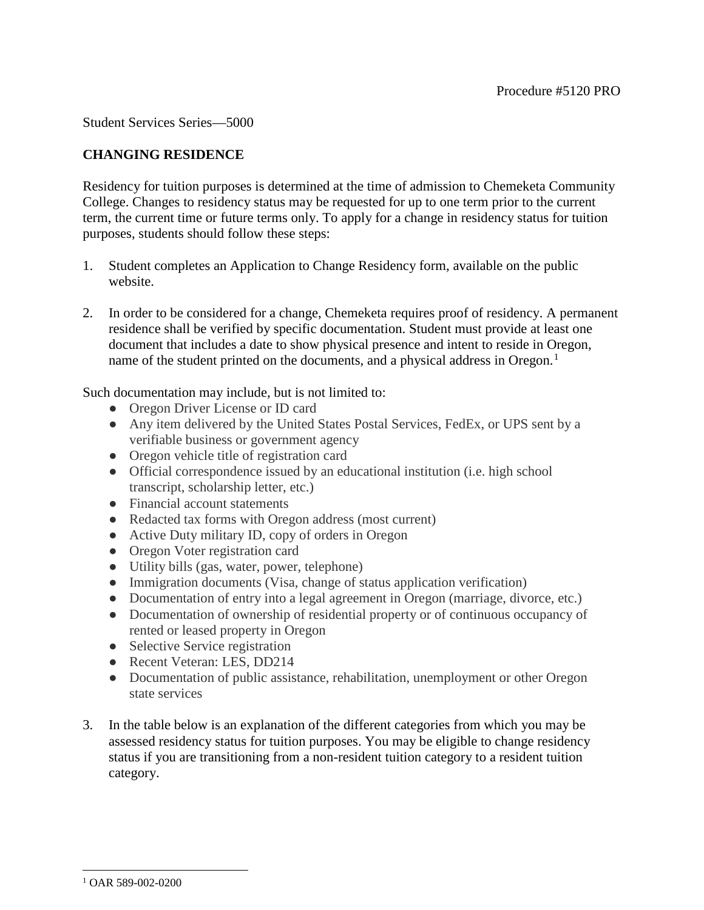Student Services Series—5000

## **CHANGING RESIDENCE**

Residency for tuition purposes is determined at the time of admission to Chemeketa Community College. Changes to residency status may be requested for up to one term prior to the current term, the current time or future terms only. To apply for a change in residency status for tuition purposes, students should follow these steps:

- 1. Student completes an Application to Change Residency form, available on the public website.
- 2. In order to be considered for a change, Chemeketa requires proof of residency. A permanent residence shall be verified by specific documentation. Student must provide at least one document that includes a date to show physical presence and intent to reside in Oregon, name of the student printed on the documents, and a physical address in Oregon.<sup>[1](#page-0-0)</sup>

Such documentation may include, but is not limited to:

- Oregon Driver License or ID card
- Any item delivered by the United States Postal Services, FedEx, or UPS sent by a verifiable business or government agency
- Oregon vehicle title of registration card
- Official correspondence issued by an educational institution (i.e. high school transcript, scholarship letter, etc.)
- Financial account statements
- Redacted tax forms with Oregon address (most current)
- Active Duty military ID, copy of orders in Oregon
- Oregon Voter registration card
- Utility bills (gas, water, power, telephone)
- Immigration documents (Visa, change of status application verification)
- Documentation of entry into a legal agreement in Oregon (marriage, divorce, etc.)
- Documentation of ownership of residential property or of continuous occupancy of rented or leased property in Oregon
- Selective Service registration
- Recent Veteran: LES, DD214
- Documentation of public assistance, rehabilitation, unemployment or other Oregon state services
- 3. In the table below is an explanation of the different categories from which you may be assessed residency status for tuition purposes. You may be eligible to change residency status if you are transitioning from a non-resident tuition category to a resident tuition category.

<span id="page-0-0"></span> $\ddot{\phantom{a}}$ <sup>1</sup> OAR 589-002-0200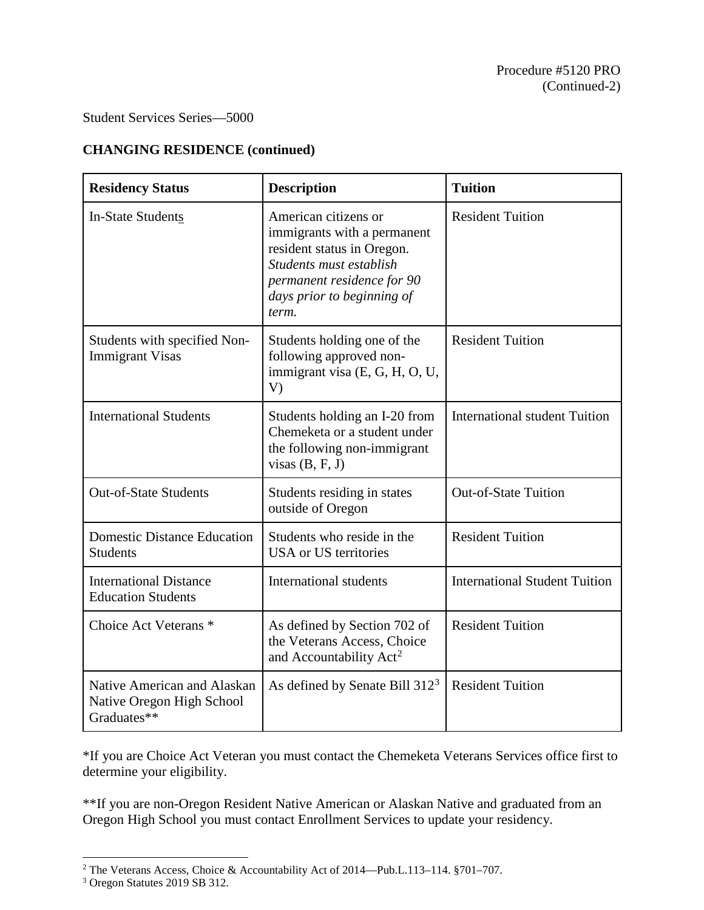## Student Services Series—5000

## **CHANGING RESIDENCE (continued)**

| <b>Residency Status</b>                                                 | <b>Description</b>                                                                                                                                                                | <b>Tuition</b>                       |
|-------------------------------------------------------------------------|-----------------------------------------------------------------------------------------------------------------------------------------------------------------------------------|--------------------------------------|
| <b>In-State Students</b>                                                | American citizens or<br>immigrants with a permanent<br>resident status in Oregon.<br>Students must establish<br>permanent residence for 90<br>days prior to beginning of<br>term. | <b>Resident Tuition</b>              |
| Students with specified Non-<br><b>Immigrant Visas</b>                  | Students holding one of the<br>following approved non-<br>immigrant visa (E, G, H, O, U,<br>V)                                                                                    | <b>Resident Tuition</b>              |
| <b>International Students</b>                                           | Students holding an I-20 from<br>Chemeketa or a student under<br>the following non-immigrant<br>visas $(B, F, J)$                                                                 | <b>International student Tuition</b> |
| <b>Out-of-State Students</b>                                            | Students residing in states<br>outside of Oregon                                                                                                                                  | <b>Out-of-State Tuition</b>          |
| <b>Domestic Distance Education</b><br><b>Students</b>                   | Students who reside in the<br>USA or US territories                                                                                                                               | <b>Resident Tuition</b>              |
| <b>International Distance</b><br><b>Education Students</b>              | International students                                                                                                                                                            | <b>International Student Tuition</b> |
| Choice Act Veterans <sup>*</sup>                                        | As defined by Section 702 of<br>the Veterans Access, Choice<br>and Accountability Act <sup>2</sup>                                                                                | <b>Resident Tuition</b>              |
| Native American and Alaskan<br>Native Oregon High School<br>Graduates** | As defined by Senate Bill 312 <sup>3</sup>                                                                                                                                        | <b>Resident Tuition</b>              |

\*If you are Choice Act Veteran you must contact the Chemeketa Veterans Services office first to determine your eligibility.

\*\*If you are non-Oregon Resident Native American or Alaskan Native and graduated from an Oregon High School you must contact Enrollment Services to update your residency.

 $\overline{a}$ 

<sup>&</sup>lt;sup>2</sup> The Veterans Access, Choice & Accountability Act of 2014—Pub.L.113–114. §701–707.

<span id="page-1-1"></span><span id="page-1-0"></span><sup>3</sup> Oregon Statutes 2019 SB 312.